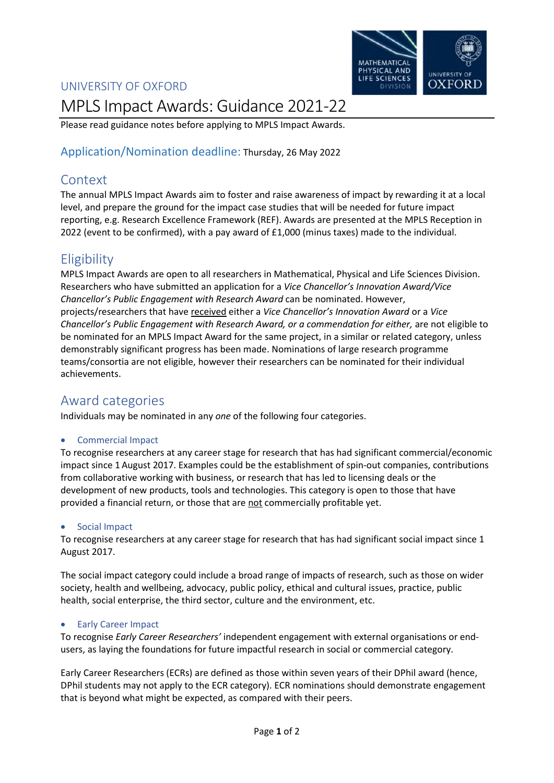### UNIVERSITY OF OXFORD



# MPLS Impact Awards: Guidance 2021-22

Please read guidance notes before applying to MPLS Impact Awards.

### Application/Nomination deadline: Thursday, 26 May 2022

# Context

The annual MPLS Impact Awards aim to foster and raise awareness of impact by rewarding it at a local level, and prepare the ground for the impact case studies that will be needed for future impact reporting, e.g. Research Excellence Framework (REF). Awards are presented at the MPLS Reception in 2022 (event to be confirmed), with a pay award of £1,000 (minus taxes) made to the individual.

# **Eligibility**

MPLS Impact Awards are open to all researchers in Mathematical, Physical and Life Sciences Division. Researchers who have submitted an application for a *Vice Chancellor's Innovation Award/Vice Chancellor's Public Engagement with Research Award* can be nominated. However, projects/researchers that have received either a *Vice Chancellor's Innovation Award* or a *Vice Chancellor's Public Engagement with Research Award, or a commendation for either,* are not eligible to be nominated for an MPLS Impact Award for the same project, in a similar or related category, unless demonstrably significant progress has been made. Nominations of large research programme teams/consortia are not eligible, however their researchers can be nominated for their individual achievements.

# Award categories

Individuals may be nominated in any *one* of the following four categories.

#### • Commercial Impact

To recognise researchers at any career stage for research that has had significant commercial/economic impact since 1August 2017. Examples could be the establishment of spin-out companies, contributions from collaborative working with business, or research that has led to licensing deals or the development of new products, tools and technologies. This category is open to those that have provided a financial return, or those that are not commercially profitable yet.

#### Social Impact

To recognise researchers at any career stage for research that has had significant social impact since 1 August 2017.

The social impact category could include a broad range of impacts of research, such as those on wider society, health and wellbeing, advocacy, public policy, ethical and cultural issues, practice, public health, social enterprise, the third sector, culture and the environment, etc.

#### **•** Early Career Impact

To recognise *Early Career Researchers'* independent engagement with external organisations or endusers, as laying the foundations for future impactful research in social or commercial category.

Early Career Researchers (ECRs) are defined as those within seven years of their DPhil award (hence, DPhil students may not apply to the ECR category). ECR nominations should demonstrate engagement that is beyond what might be expected, as compared with their peers.